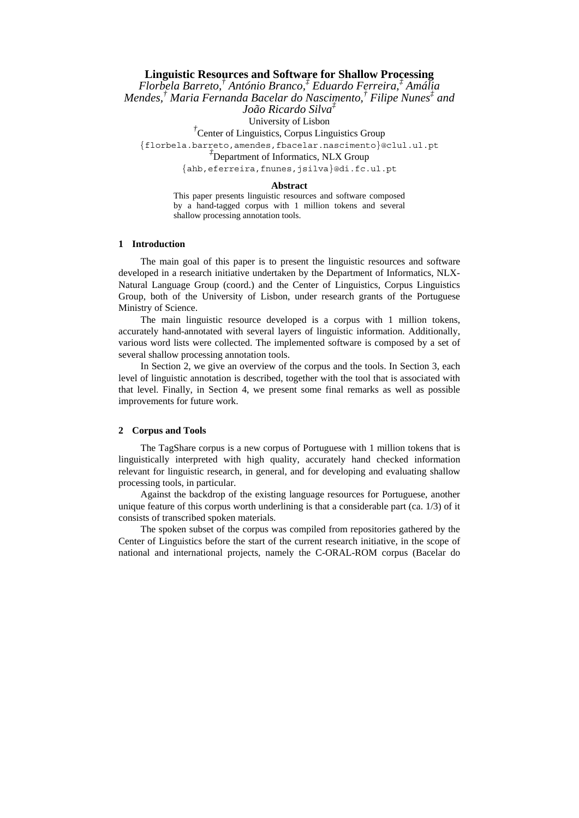# **Linguistic Resources and Software for Shallow Processing**  *Florbela Barreto,† António Branco,‡ Eduardo Ferreira,‡ Amália Mendes,† Maria Fernanda Bacelar do Nascimento,† Filipe Nunes‡ and João Ricardo Silva‡* University of Lisbon *†* Center of Linguistics, Corpus Linguistics Group {florbela.barreto,amendes,fbacelar.nascimento}@clul.ul.pt *‡*  $\overline{P}$ Department of Informatics, NLX Group {ahb,eferreira,fnunes,jsilva}@di.fc.ul.pt

#### **Abstract**

This paper presents linguistic resources and software composed by a hand-tagged corpus with 1 million tokens and several shallow processing annotation tools.

# **1 Introduction**

The main goal of this paper is to present the linguistic resources and software developed in a research initiative undertaken by the Department of Informatics, NLX-Natural Language Group (coord.) and the Center of Linguistics, Corpus Linguistics Group, both of the University of Lisbon, under research grants of the Portuguese Ministry of Science.

The main linguistic resource developed is a corpus with 1 million tokens, accurately hand-annotated with several layers of linguistic information. Additionally, various word lists were collected. The implemented software is composed by a set of several shallow processing annotation tools.

In Section 2, we give an overview of the corpus and the tools. In Section 3, each level of linguistic annotation is described, together with the tool that is associated with that level. Finally, in Section 4, we present some final remarks as well as possible improvements for future work.

#### **2 Corpus and Tools**

The TagShare corpus is a new corpus of Portuguese with 1 million tokens that is linguistically interpreted with high quality, accurately hand checked information relevant for linguistic research, in general, and for developing and evaluating shallow processing tools, in particular.

Against the backdrop of the existing language resources for Portuguese, another unique feature of this corpus worth underlining is that a considerable part (ca.  $1/3$ ) of it consists of transcribed spoken materials.

The spoken subset of the corpus was compiled from repositories gathered by the Center of Linguistics before the start of the current research initiative, in the scope of national and international projects, namely the C-ORAL-ROM corpus (Bacelar do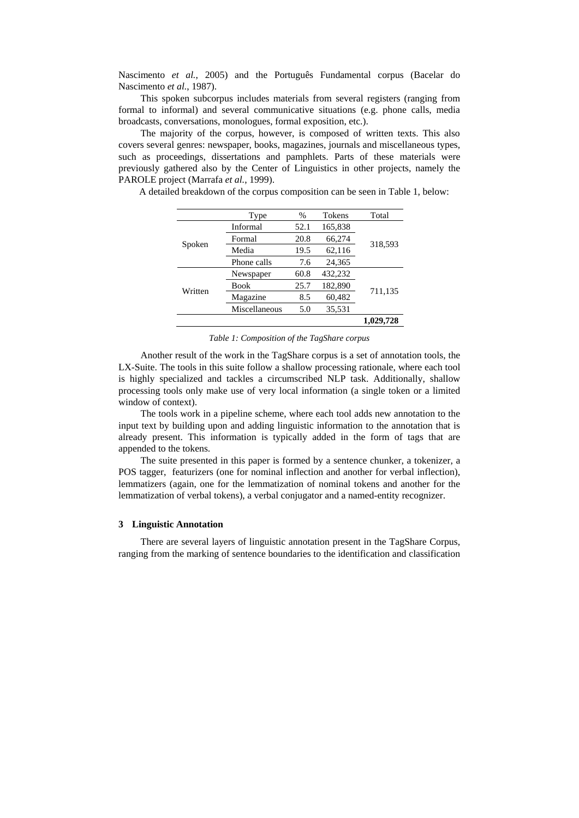Nascimento *et al.*, 2005) and the Português Fundamental corpus (Bacelar do Nascimento *et al.*, 1987).

This spoken subcorpus includes materials from several registers (ranging from formal to informal) and several communicative situations (e.g. phone calls, media broadcasts, conversations, monologues, formal exposition, etc.).

The majority of the corpus, however, is composed of written texts. This also covers several genres: newspaper, books, magazines, journals and miscellaneous types, such as proceedings, dissertations and pamphlets. Parts of these materials were previously gathered also by the Center of Linguistics in other projects, namely the PAROLE project (Marrafa *et al.*, 1999).

A detailed breakdown of the corpus composition can be seen in Table 1, below:

|         | Type          | %    | Tokens  | Total     |
|---------|---------------|------|---------|-----------|
| Spoken  | Informal      | 52.1 | 165,838 | 318,593   |
|         | Formal        | 20.8 | 66,274  |           |
|         | Media         | 19.5 | 62,116  |           |
|         | Phone calls   | 7.6  | 24,365  |           |
| Written | Newspaper     | 60.8 | 432,232 | 711,135   |
|         | <b>Book</b>   | 25.7 | 182,890 |           |
|         | Magazine      | 8.5  | 60,482  |           |
|         | Miscellaneous | 5.0  | 35,531  |           |
|         |               |      |         | 1,029,728 |

*Table 1: Composition of the TagShare corpus* 

Another result of the work in the TagShare corpus is a set of annotation tools, the LX-Suite. The tools in this suite follow a shallow processing rationale, where each tool is highly specialized and tackles a circumscribed NLP task. Additionally, shallow processing tools only make use of very local information (a single token or a limited window of context).

The tools work in a pipeline scheme, where each tool adds new annotation to the input text by building upon and adding linguistic information to the annotation that is already present. This information is typically added in the form of tags that are appended to the tokens.

The suite presented in this paper is formed by a sentence chunker, a tokenizer, a POS tagger, featurizers (one for nominal inflection and another for verbal inflection), lemmatizers (again, one for the lemmatization of nominal tokens and another for the lemmatization of verbal tokens), a verbal conjugator and a named-entity recognizer.

# **3 Linguistic Annotation**

There are several layers of linguistic annotation present in the TagShare Corpus, ranging from the marking of sentence boundaries to the identification and classification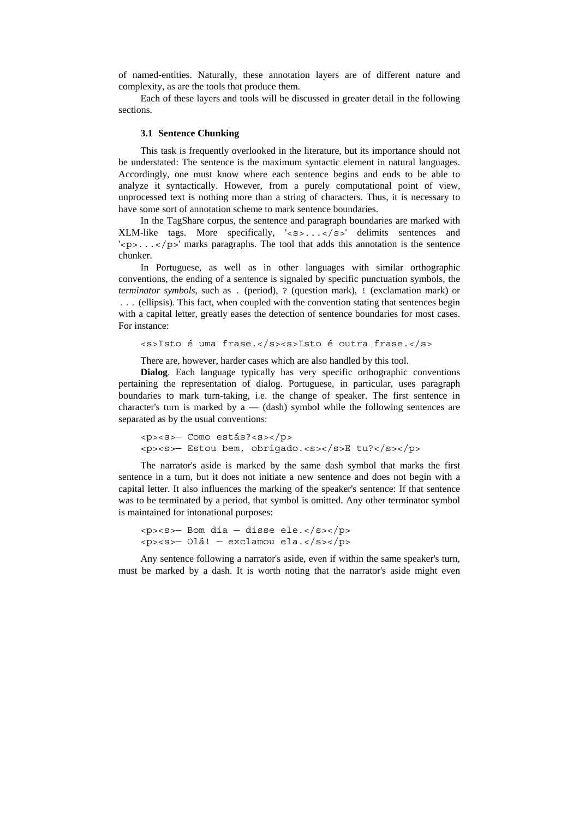of named-entities. Naturally, these annotation layers are of different nature and complexity, as are the tools that produce them.

Each of these layers and tools will be discussed in greater detail in the following sections.

#### **3.1 Sentence Chunking**

This task is frequently overlooked in the literature, but its importance should not be understated: The sentence is the maximum syntactic element in natural languages. Accordingly, one must know where each sentence begins and ends to be able to analyze it syntactically. However, from a purely computational point of view, unprocessed text is nothing more than a string of characters. Thus, it is necessary to have some sort of annotation scheme to mark sentence boundaries.

In the TagShare corpus, the sentence and paragraph boundaries are marked with XLM-like tags. More specifically,  $\langle s \rangle$ ,  $\langle s \rangle$  delimits sentences and  $\langle \text{p} \rangle$ ... $\langle \text{p} \rangle$  marks paragraphs. The tool that adds this annotation is the sentence chunker.

In Portuguese, as well as in other languages with similar orthographic conventions, the ending of a sentence is signaled by specific punctuation symbols, the *terminator symbols*, such as . (period), ? (question mark), ! (exclamation mark) or ... (ellipsis). This fact, when coupled with the convention stating that sentences begin with a capital letter, greatly eases the detection of sentence boundaries for most cases. For instance:

<s>Isto é uma frase.</s><s>Isto é outra frase.</s>

There are, however, harder cases which are also handled by this tool.

**Dialog**. Each language typically has very specific orthographic conventions pertaining the representation of dialog. Portuguese, in particular, uses paragraph boundaries to mark turn-taking, i.e. the change of speaker. The first sentence in character's turn is marked by  $a - (dash)$  symbol while the following sentences are separated as by the usual conventions:

```
<p><s>— Como estás?<s></p> 
<p><s>— Estou bem, obrigado.<s></s>E tu?</s></p>
```
The narrator's aside is marked by the same dash symbol that marks the first sentence in a turn, but it does not initiate a new sentence and does not begin with a capital letter. It also influences the marking of the speaker's sentence: If that sentence was to be terminated by a period, that symbol is omitted. Any other terminator symbol is maintained for intonational purposes:

```
<p><s>— Bom dia — disse ele.</s></p> 
<p><s>— Olá! — exclamou ela.</s></p>
```
Any sentence following a narrator's aside, even if within the same speaker's turn, must be marked by a dash. It is worth noting that the narrator's aside might even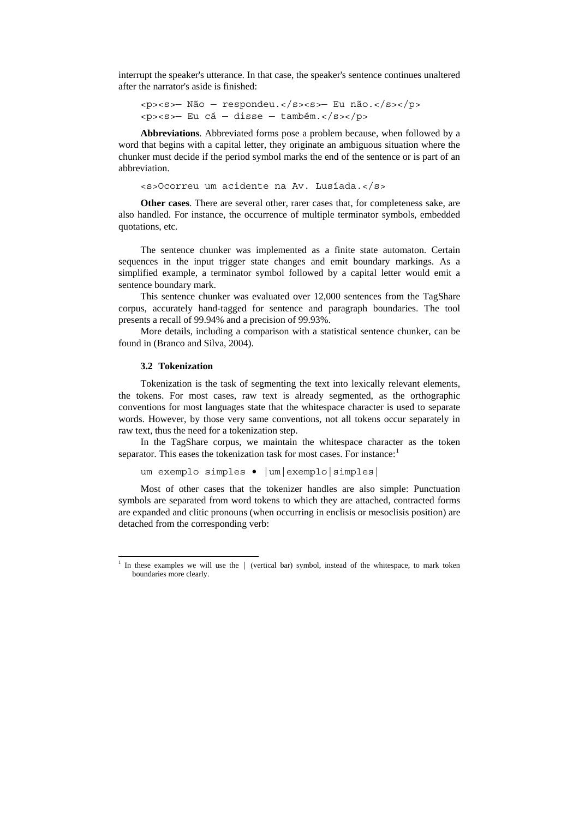interrupt the speaker's utterance. In that case, the speaker's sentence continues unaltered after the narrator's aside is finished:

```
<p><s>— Não — respondeu.</s><s>— Eu não.</s></p> 
<p><s>— Eu cá — disse — também.</s></p>
```
**Abbreviations**. Abbreviated forms pose a problem because, when followed by a word that begins with a capital letter, they originate an ambiguous situation where the chunker must decide if the period symbol marks the end of the sentence or is part of an abbreviation.

<s>Ocorreu um acidente na Av. Lusíada.</s>

**Other cases**. There are several other, rarer cases that, for completeness sake, are also handled. For instance, the occurrence of multiple terminator symbols, embedded quotations, etc.

The sentence chunker was implemented as a finite state automaton. Certain sequences in the input trigger state changes and emit boundary markings. As a simplified example, a terminator symbol followed by a capital letter would emit a sentence boundary mark.

This sentence chunker was evaluated over 12,000 sentences from the TagShare corpus, accurately hand-tagged for sentence and paragraph boundaries. The tool presents a recall of 99.94% and a precision of 99.93%.

More details, including a comparison with a statistical sentence chunker, can be found in (Branco and Silva, 2004).

## **3.2 Tokenization**

-

Tokenization is the task of segmenting the text into lexically relevant elements, the tokens. For most cases, raw text is already segmented, as the orthographic conventions for most languages state that the whitespace character is used to separate words. However, by those very same conventions, not all tokens occur separately in raw text, thus the need for a tokenization step.

In the TagShare corpus, we maintain the whitespace character as the token separator. This eases the tokenization task for most cases. For instance:

um exemplo simples • |um|exemplo|simples|

Most of other cases that the tokenizer handles are also simple: Punctuation symbols are separated from word tokens to which they are attached, contracted forms are expanded and clitic pronouns (when occurring in enclisis or mesoclisis position) are detached from the corresponding verb:

<span id="page-3-0"></span><sup>1</sup> In these examples we will use the | (vertical bar) symbol, instead of the whitespace, to mark token boundaries more clearly.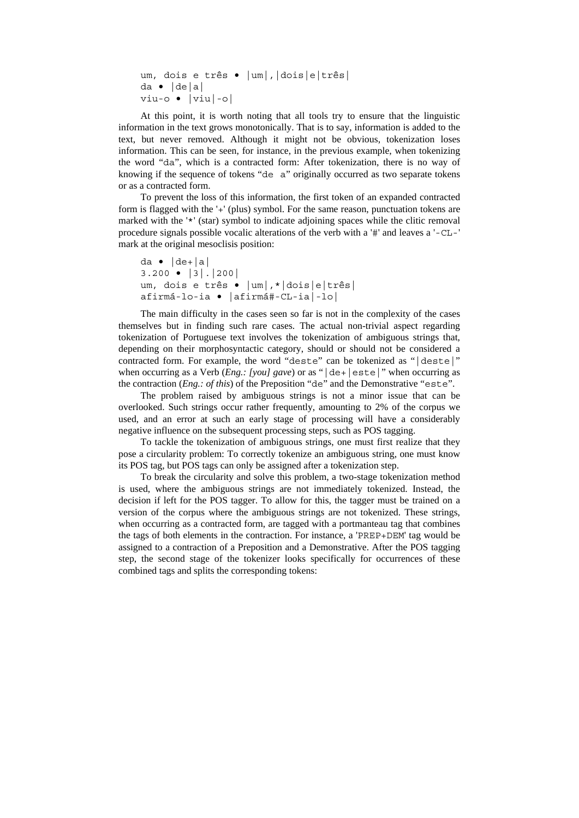```
um, dois e três • |um|,|dois|e|três| 
da • |de|a| 
viu-o • |viu|-o|
```
At this point, it is worth noting that all tools try to ensure that the linguistic information in the text grows monotonically. That is to say, information is added to the text, but never removed. Although it might not be obvious, tokenization loses information. This can be seen, for instance, in the previous example, when tokenizing the word "da", which is a contracted form: After tokenization, there is no way of knowing if the sequence of tokens "de a" originally occurred as two separate tokens or as a contracted form.

To prevent the loss of this information, the first token of an expanded contracted form is flagged with the '+' (plus) symbol. For the same reason, punctuation tokens are marked with the '<sup>\*'</sup> (star) symbol to indicate adjoining spaces while the clitic removal procedure signals possible vocalic alterations of the verb with a '#' and leaves a '-CL-' mark at the original mesoclisis position:

```
da \bullet | de + | a |3.200 • |3|.|200| 
um, dois e três • |um|,*|dois|e|três| 
afirmá-lo-ia • |afirmá#-CL-ia|-lo|
```
The main difficulty in the cases seen so far is not in the complexity of the cases themselves but in finding such rare cases. The actual non-trivial aspect regarding tokenization of Portuguese text involves the tokenization of ambiguous strings that, depending on their morphosyntactic category, should or should not be considered a contracted form. For example, the word "deste" can be tokenized as "|deste|" when occurring as a Verb (*Eng.: [you] gave*) or as " $\left|\det\right|$  este<sup>"</sup> when occurring as the contraction (*Eng.: of this*) of the Preposition "de" and the Demonstrative "este".

The problem raised by ambiguous strings is not a minor issue that can be overlooked. Such strings occur rather frequently, amounting to 2% of the corpus we used, and an error at such an early stage of processing will have a considerably negative influence on the subsequent processing steps, such as POS tagging.

To tackle the tokenization of ambiguous strings, one must first realize that they pose a circularity problem: To correctly tokenize an ambiguous string, one must know its POS tag, but POS tags can only be assigned after a tokenization step.

To break the circularity and solve this problem, a two-stage tokenization method is used, where the ambiguous strings are not immediately tokenized. Instead, the decision if left for the POS tagger. To allow for this, the tagger must be trained on a version of the corpus where the ambiguous strings are not tokenized. These strings, when occurring as a contracted form, are tagged with a portmanteau tag that combines the tags of both elements in the contraction. For instance, a 'PREP+DEM' tag would be assigned to a contraction of a Preposition and a Demonstrative. After the POS tagging step, the second stage of the tokenizer looks specifically for occurrences of these combined tags and splits the corresponding tokens: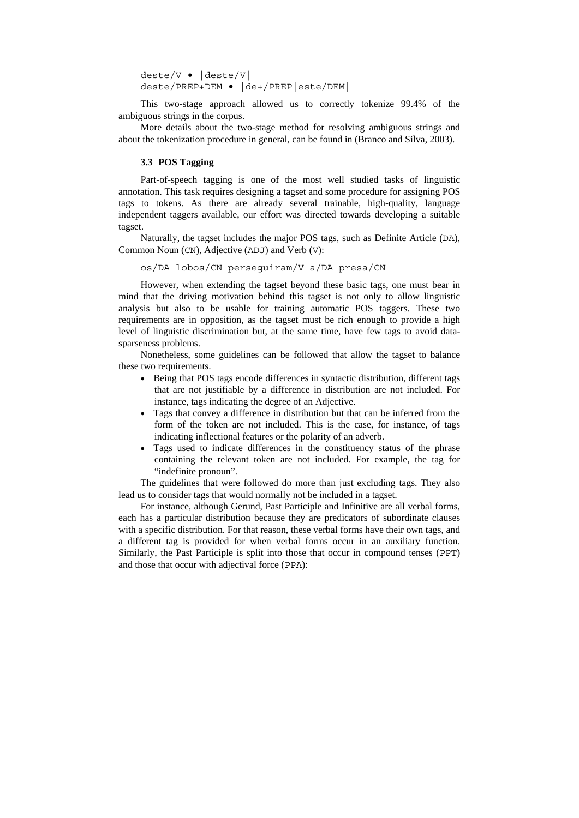deste/V • |deste/V| deste/PREP+DEM • |de+/PREP|este/DEM|

This two-stage approach allowed us to correctly tokenize 99.4% of the ambiguous strings in the corpus.

More details about the two-stage method for resolving ambiguous strings and about the tokenization procedure in general, can be found in (Branco and Silva, 2003).

## **3.3 POS Tagging**

Part-of-speech tagging is one of the most well studied tasks of linguistic annotation. This task requires designing a tagset and some procedure for assigning POS tags to tokens. As there are already several trainable, high-quality, language independent taggers available, our effort was directed towards developing a suitable tagset.

Naturally, the tagset includes the major POS tags, such as Definite Article (DA), Common Noun (CN), Adjective (ADJ) and Verb (V):

os/DA lobos/CN perseguiram/V a/DA presa/CN

However, when extending the tagset beyond these basic tags, one must bear in mind that the driving motivation behind this tagset is not only to allow linguistic analysis but also to be usable for training automatic POS taggers. These two requirements are in opposition, as the tagset must be rich enough to provide a high level of linguistic discrimination but, at the same time, have few tags to avoid datasparseness problems.

Nonetheless, some guidelines can be followed that allow the tagset to balance these two requirements.

- Being that POS tags encode differences in syntactic distribution, different tags that are not justifiable by a difference in distribution are not included. For instance, tags indicating the degree of an Adjective.
- Tags that convey a difference in distribution but that can be inferred from the form of the token are not included. This is the case, for instance, of tags indicating inflectional features or the polarity of an adverb.
- Tags used to indicate differences in the constituency status of the phrase containing the relevant token are not included. For example, the tag for "indefinite pronoun".

The guidelines that were followed do more than just excluding tags. They also lead us to consider tags that would normally not be included in a tagset.

For instance, although Gerund, Past Participle and Infinitive are all verbal forms, each has a particular distribution because they are predicators of subordinate clauses with a specific distribution. For that reason, these verbal forms have their own tags, and a different tag is provided for when verbal forms occur in an auxiliary function. Similarly, the Past Participle is split into those that occur in compound tenses (PPT) and those that occur with adjectival force (PPA):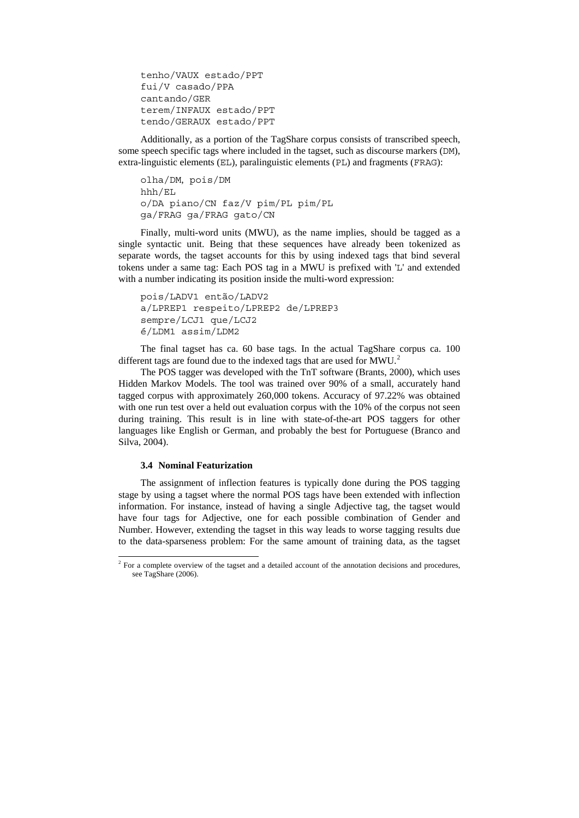tenho/VAUX estado/PPT fui/V casado/PPA cantando/GER terem/INFAUX estado/PPT tendo/GERAUX estado/PPT

Additionally, as a portion of the TagShare corpus consists of transcribed speech, some speech specific tags where included in the tagset, such as discourse markers (DM), extra-linguistic elements (EL), paralinguistic elements (PL) and fragments (FRAG):

olha/DM, pois/DM hhh/EL o/DA piano/CN faz/V pim/PL pim/PL ga/FRAG ga/FRAG gato/CN

Finally, multi-word units (MWU), as the name implies, should be tagged as a single syntactic unit. Being that these sequences have already been tokenized as separate words, the tagset accounts for this by using indexed tags that bind several tokens under a same tag: Each POS tag in a MWU is prefixed with 'L' and extended with a number indicating its position inside the multi-word expression:

```
pois/LADV1 então/LADV2 
a/LPREP1 respeito/LPREP2 de/LPREP3 
sempre/LCJ1 que/LCJ2 
é/LDM1 assim/LDM2
```
The final tagset has ca. 60 base tags. In the actual TagShare corpus ca. 100 different tags are found due to the indexed tags that are used for MWU.<sup>[2](#page-6-0)</sup>

The POS tagger was developed with the TnT software (Brants, 2000), which uses Hidden Markov Models. The tool was trained over 90% of a small, accurately hand tagged corpus with approximately 260,000 tokens. Accuracy of 97.22% was obtained with one run test over a held out evaluation corpus with the 10% of the corpus not seen during training. This result is in line with state-of-the-art POS taggers for other languages like English or German, and probably the best for Portuguese (Branco and Silva, 2004).

#### **3.4 Nominal Featurization**

-

The assignment of inflection features is typically done during the POS tagging stage by using a tagset where the normal POS tags have been extended with inflection information. For instance, instead of having a single Adjective tag, the tagset would have four tags for Adjective, one for each possible combination of Gender and Number. However, extending the tagset in this way leads to worse tagging results due to the data-sparseness problem: For the same amount of training data, as the tagset

<span id="page-6-0"></span><sup>&</sup>lt;sup>2</sup> For a complete overview of the tagset and a detailed account of the annotation decisions and procedures, see TagShare (2006).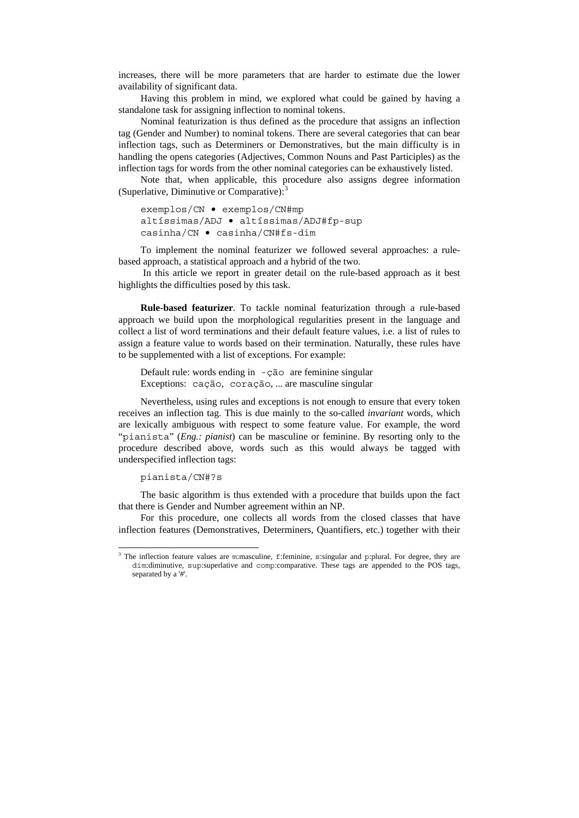increases, there will be more parameters that are harder to estimate due the lower availability of significant data.

Having this problem in mind, we explored what could be gained by having a standalone task for assigning inflection to nominal tokens.

Nominal featurization is thus defined as the procedure that assigns an inflection tag (Gender and Number) to nominal tokens. There are several categories that can bear inflection tags, such as Determiners or Demonstratives, but the main difficulty is in handling the opens categories (Adjectives, Common Nouns and Past Participles) as the inflection tags for words from the other nominal categories can be exhaustively listed.

Note that, when applicable, this procedure also assigns degree information (Superlative, Diminutive or Comparative): $3$ 

exemplos/CN • exemplos/CN#mp altíssimas/ADJ • altíssimas/ADJ#fp-sup casinha/CN • casinha/CN#fs-dim

To implement the nominal featurizer we followed several approaches: a rulebased approach, a statistical approach and a hybrid of the two.

 In this article we report in greater detail on the rule-based approach as it best highlights the difficulties posed by this task.

**Rule-based featurizer**. To tackle nominal featurization through a rule-based approach we build upon the morphological regularities present in the language and collect a list of word terminations and their default feature values, i.e. a list of rules to assign a feature value to words based on their termination. Naturally, these rules have to be supplemented with a list of exceptions. For example:

Default rule: words ending in -ção are feminine singular Exceptions: cação, coração, ... are masculine singular

Nevertheless, using rules and exceptions is not enough to ensure that every token receives an inflection tag. This is due mainly to the so-called *invariant* words, which are lexically ambiguous with respect to some feature value. For example, the word "pianista" (*Eng.: pianist*) can be masculine or feminine. By resorting only to the procedure described above, words such as this would always be tagged with underspecified inflection tags:

pianista/CN#?s

The basic algorithm is thus extended with a procedure that builds upon the fact that there is Gender and Number agreement within an NP.

For this procedure, one collects all words from the closed classes that have inflection features (Demonstratives, Determiners, Quantifiers, etc.) together with their

<span id="page-7-0"></span>The inflection feature values are m:masculine, f:feminine, s:singular and p:plural. For degree, they are dim:diminutive, sup:superlative and comp:comparative. These tags are appended to the POS tags, separated by a '#'.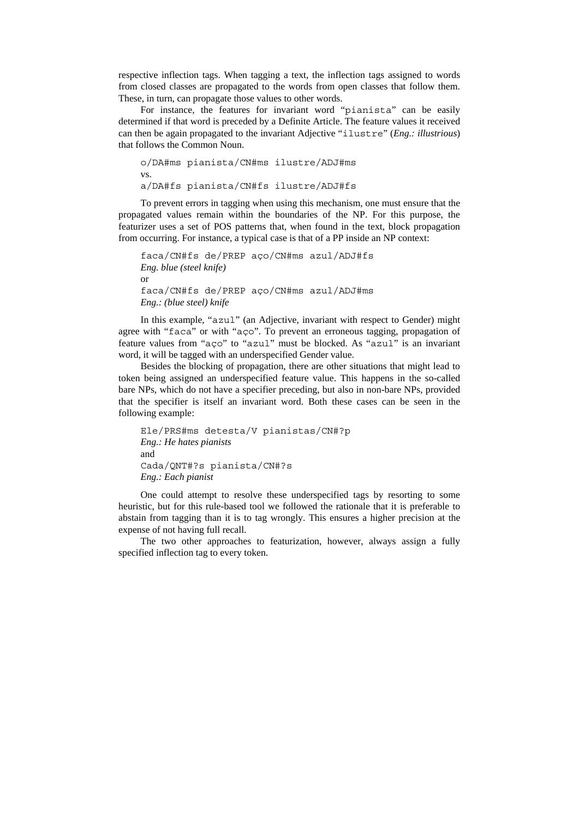respective inflection tags. When tagging a text, the inflection tags assigned to words from closed classes are propagated to the words from open classes that follow them. These, in turn, can propagate those values to other words.

For instance, the features for invariant word "pianista" can be easily determined if that word is preceded by a Definite Article. The feature values it received can then be again propagated to the invariant Adjective "ilustre" (*Eng.: illustrious*) that follows the Common Noun.

o/DA#ms pianista/CN#ms ilustre/ADJ#ms vs. a/DA#fs pianista/CN#fs ilustre/ADJ#fs

To prevent errors in tagging when using this mechanism, one must ensure that the propagated values remain within the boundaries of the NP. For this purpose, the featurizer uses a set of POS patterns that, when found in the text, block propagation from occurring. For instance, a typical case is that of a PP inside an NP context:

```
faca/CN#fs de/PREP aço/CN#ms azul/ADJ#fs 
Eng. blue (steel knife) 
or 
faca/CN#fs de/PREP aço/CN#ms azul/ADJ#ms 
Eng.: (blue steel) knife
```
In this example, "azul" (an Adjective, invariant with respect to Gender) might agree with "faca" or with "aço". To prevent an erroneous tagging, propagation of feature values from "aço" to "azul" must be blocked. As "azul" is an invariant word, it will be tagged with an underspecified Gender value.

Besides the blocking of propagation, there are other situations that might lead to token being assigned an underspecified feature value. This happens in the so-called bare NPs, which do not have a specifier preceding, but also in non-bare NPs, provided that the specifier is itself an invariant word. Both these cases can be seen in the following example:

```
Ele/PRS#ms detesta/V pianistas/CN#?p 
Eng.: He hates pianists 
and 
Cada/QNT#?s pianista/CN#?s 
Eng.: Each pianist
```
One could attempt to resolve these underspecified tags by resorting to some heuristic, but for this rule-based tool we followed the rationale that it is preferable to abstain from tagging than it is to tag wrongly. This ensures a higher precision at the expense of not having full recall.

The two other approaches to featurization, however, always assign a fully specified inflection tag to every token.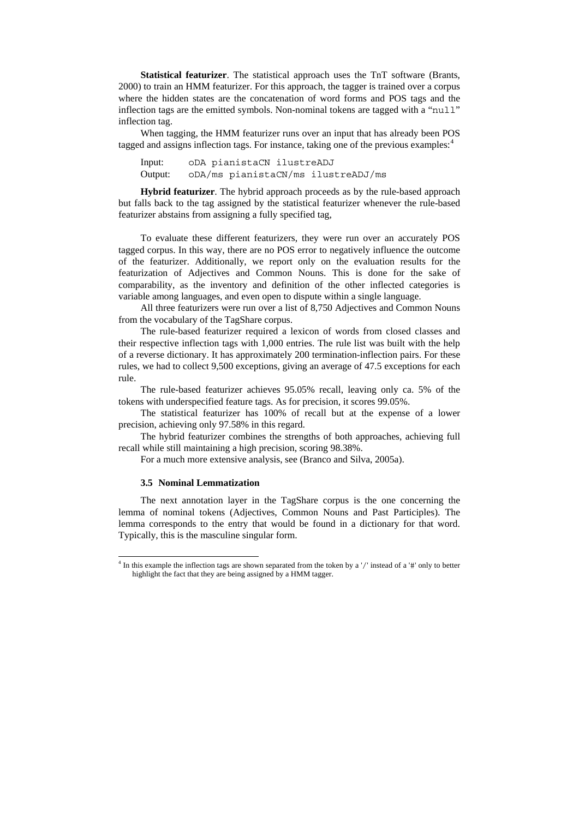**Statistical featurizer**. The statistical approach uses the TnT software (Brants, 2000) to train an HMM featurizer. For this approach, the tagger is trained over a corpus where the hidden states are the concatenation of word forms and POS tags and the inflection tags are the emitted symbols. Non-nominal tokens are tagged with a "null" inflection tag.

When tagging, the HMM featurizer runs over an input that has already been POS tagged and assigns inflection tags. For instance, taking one of the previous examples:  $4\overline{ }$  $4\overline{ }$ 

Input: oDA pianistaCN ilustreADJ Output: oDA/ms pianistaCN/ms ilustreADJ/ms

**Hybrid featurizer**. The hybrid approach proceeds as by the rule-based approach but falls back to the tag assigned by the statistical featurizer whenever the rule-based featurizer abstains from assigning a fully specified tag,

To evaluate these different featurizers, they were run over an accurately POS tagged corpus. In this way, there are no POS error to negatively influence the outcome of the featurizer. Additionally, we report only on the evaluation results for the featurization of Adjectives and Common Nouns. This is done for the sake of comparability, as the inventory and definition of the other inflected categories is variable among languages, and even open to dispute within a single language.

All three featurizers were run over a list of 8,750 Adjectives and Common Nouns from the vocabulary of the TagShare corpus.

The rule-based featurizer required a lexicon of words from closed classes and their respective inflection tags with 1,000 entries. The rule list was built with the help of a reverse dictionary. It has approximately 200 termination-inflection pairs. For these rules, we had to collect 9,500 exceptions, giving an average of 47.5 exceptions for each rule.

The rule-based featurizer achieves 95.05% recall, leaving only ca. 5% of the tokens with underspecified feature tags. As for precision, it scores 99.05%.

The statistical featurizer has 100% of recall but at the expense of a lower precision, achieving only 97.58% in this regard.

The hybrid featurizer combines the strengths of both approaches, achieving full recall while still maintaining a high precision, scoring 98.38%.

For a much more extensive analysis, see (Branco and Silva, 2005a).

## **3.5 Nominal Lemmatization**

-

The next annotation layer in the TagShare corpus is the one concerning the lemma of nominal tokens (Adjectives, Common Nouns and Past Participles). The lemma corresponds to the entry that would be found in a dictionary for that word. Typically, this is the masculine singular form.

<span id="page-9-0"></span><sup>4</sup> In this example the inflection tags are shown separated from the token by a '/' instead of a '#' only to better highlight the fact that they are being assigned by a HMM tagger.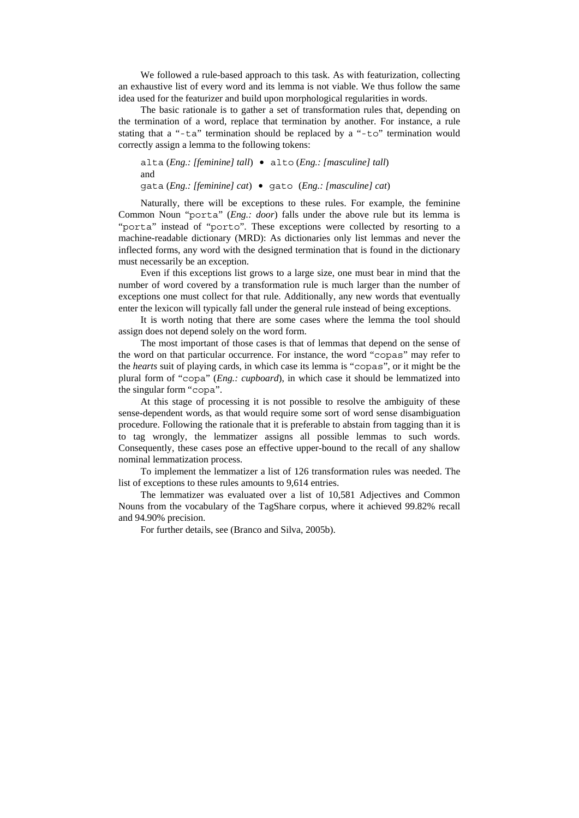We followed a rule-based approach to this task. As with featurization, collecting an exhaustive list of every word and its lemma is not viable. We thus follow the same idea used for the featurizer and build upon morphological regularities in words.

The basic rationale is to gather a set of transformation rules that, depending on the termination of a word, replace that termination by another. For instance, a rule stating that a "-ta" termination should be replaced by a "-to" termination would correctly assign a lemma to the following tokens:

alta (*Eng.: [feminine] tall*) • alto (*Eng.: [masculine] tall*) and gata (*Eng.: [feminine] cat*) • gato (*Eng.: [masculine] cat*)

Naturally, there will be exceptions to these rules. For example, the feminine Common Noun "porta" (*Eng.: door*) falls under the above rule but its lemma is "porta" instead of "porto". These exceptions were collected by resorting to a machine-readable dictionary (MRD): As dictionaries only list lemmas and never the inflected forms, any word with the designed termination that is found in the dictionary must necessarily be an exception.

Even if this exceptions list grows to a large size, one must bear in mind that the number of word covered by a transformation rule is much larger than the number of exceptions one must collect for that rule. Additionally, any new words that eventually enter the lexicon will typically fall under the general rule instead of being exceptions.

It is worth noting that there are some cases where the lemma the tool should assign does not depend solely on the word form.

The most important of those cases is that of lemmas that depend on the sense of the word on that particular occurrence. For instance, the word "copas" may refer to the *hearts* suit of playing cards, in which case its lemma is "copas", or it might be the plural form of "copa" (*Eng.: cupboard*), in which case it should be lemmatized into the singular form "copa".

At this stage of processing it is not possible to resolve the ambiguity of these sense-dependent words, as that would require some sort of word sense disambiguation procedure. Following the rationale that it is preferable to abstain from tagging than it is to tag wrongly, the lemmatizer assigns all possible lemmas to such words. Consequently, these cases pose an effective upper-bound to the recall of any shallow nominal lemmatization process.

To implement the lemmatizer a list of 126 transformation rules was needed. The list of exceptions to these rules amounts to 9,614 entries.

The lemmatizer was evaluated over a list of 10,581 Adjectives and Common Nouns from the vocabulary of the TagShare corpus, where it achieved 99.82% recall and 94.90% precision.

For further details, see (Branco and Silva, 2005b).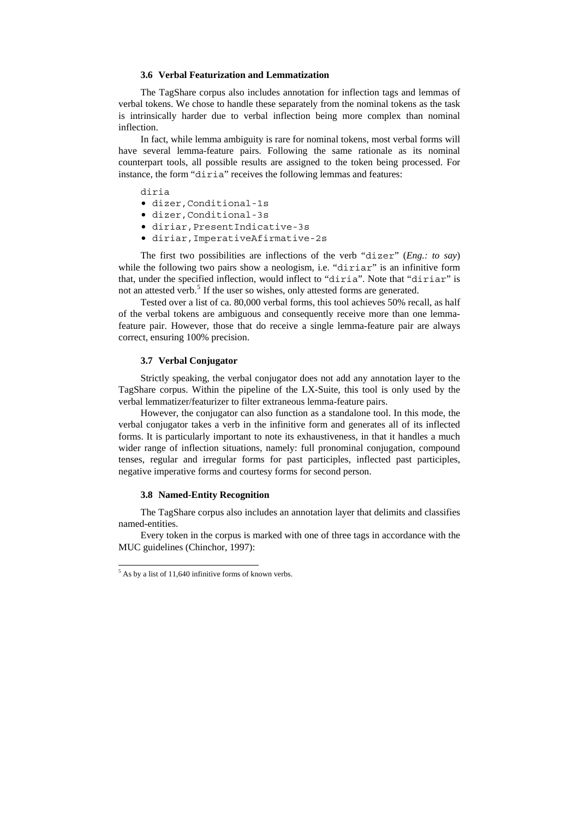## **3.6 Verbal Featurization and Lemmatization**

The TagShare corpus also includes annotation for inflection tags and lemmas of verbal tokens. We chose to handle these separately from the nominal tokens as the task is intrinsically harder due to verbal inflection being more complex than nominal inflection.

In fact, while lemma ambiguity is rare for nominal tokens, most verbal forms will have several lemma-feature pairs. Following the same rationale as its nominal counterpart tools, all possible results are assigned to the token being processed. For instance, the form "diria" receives the following lemmas and features:

diria

- dizer,Conditional-1s
- dizer,Conditional-3s
- diriar,PresentIndicative-3s
- diriar,ImperativeAfirmative-2s

The first two possibilities are inflections of the verb "dizer" (*Eng.: to say*) while the following two pairs show a neologism, i.e. "diriar" is an infinitive form that, under the specified inflection, would inflect to "diria". Note that "diriar" is not an attested verb.<sup>[5](#page-11-0)</sup> If the user so wishes, only attested forms are generated.

Tested over a list of ca. 80,000 verbal forms, this tool achieves 50% recall, as half of the verbal tokens are ambiguous and consequently receive more than one lemmafeature pair. However, those that do receive a single lemma-feature pair are always correct, ensuring 100% precision.

# **3.7 Verbal Conjugator**

Strictly speaking, the verbal conjugator does not add any annotation layer to the TagShare corpus. Within the pipeline of the LX-Suite, this tool is only used by the verbal lemmatizer/featurizer to filter extraneous lemma-feature pairs.

However, the conjugator can also function as a standalone tool. In this mode, the verbal conjugator takes a verb in the infinitive form and generates all of its inflected forms. It is particularly important to note its exhaustiveness, in that it handles a much wider range of inflection situations, namely: full pronominal conjugation, compound tenses, regular and irregular forms for past participles, inflected past participles, negative imperative forms and courtesy forms for second person.

#### **3.8 Named-Entity Recognition**

The TagShare corpus also includes an annotation layer that delimits and classifies named-entities.

Every token in the corpus is marked with one of three tags in accordance with the MUC guidelines (Chinchor, 1997):

<span id="page-11-0"></span> 5 As by a list of 11,640 infinitive forms of known verbs.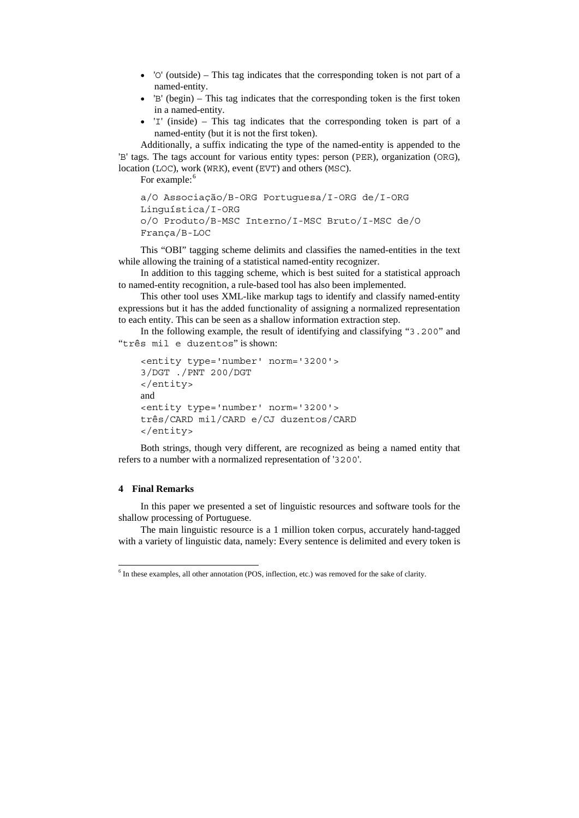- 'O' (outside) This tag indicates that the corresponding token is not part of a named-entity.
- $\bullet$  'B' (begin) This tag indicates that the corresponding token is the first token in a named-entity.
- 'I' (inside) This tag indicates that the corresponding token is part of a named-entity (but it is not the first token).

Additionally, a suffix indicating the type of the named-entity is appended to the 'B' tags. The tags account for various entity types: person (PER), organization (ORG), location (LOC), work (WRK), event (EVT) and others (MSC).

For example:<sup>[6](#page-12-0)</sup>

```
a/O Associação/B-ORG Portuguesa/I-ORG de/I-ORG 
Linguística/I-ORG 
o/O Produto/B-MSC Interno/I-MSC Bruto/I-MSC de/O 
França/B-LOC
```
This "OBI" tagging scheme delimits and classifies the named-entities in the text while allowing the training of a statistical named-entity recognizer.

In addition to this tagging scheme, which is best suited for a statistical approach to named-entity recognition, a rule-based tool has also been implemented.

This other tool uses XML-like markup tags to identify and classify named-entity expressions but it has the added functionality of assigning a normalized representation to each entity. This can be seen as a shallow information extraction step.

In the following example, the result of identifying and classifying "3.200" and "três mil e duzentos" is shown:

```
<entity type='number' norm='3200'> 
3/DGT ./PNT 200/DGT 
</entity> 
and 
<entity type='number' norm='3200'> 
três/CARD mil/CARD e/CJ duzentos/CARD 
</entity>
```
Both strings, though very different, are recognized as being a named entity that refers to a number with a normalized representation of '3200'.

# **4 Final Remarks**

In this paper we presented a set of linguistic resources and software tools for the shallow processing of Portuguese.

The main linguistic resource is a 1 million token corpus, accurately hand-tagged with a variety of linguistic data, namely: Every sentence is delimited and every token is

<span id="page-12-0"></span> 6 In these examples, all other annotation (POS, inflection, etc.) was removed for the sake of clarity.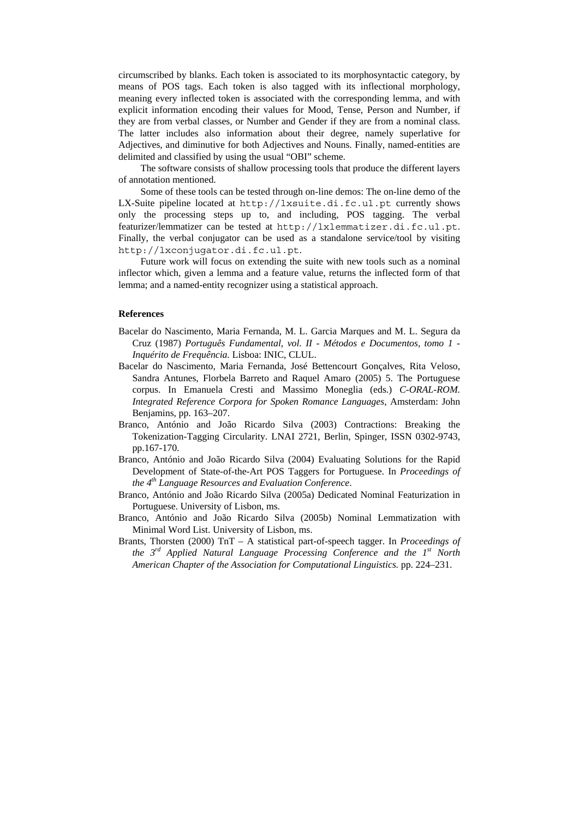circumscribed by blanks. Each token is associated to its morphosyntactic category, by means of POS tags. Each token is also tagged with its inflectional morphology, meaning every inflected token is associated with the corresponding lemma, and with explicit information encoding their values for Mood, Tense, Person and Number, if they are from verbal classes, or Number and Gender if they are from a nominal class. The latter includes also information about their degree, namely superlative for Adjectives, and diminutive for both Adjectives and Nouns. Finally, named-entities are delimited and classified by using the usual "OBI" scheme.

The software consists of shallow processing tools that produce the different layers of annotation mentioned.

Some of these tools can be tested through on-line demos: The on-line demo of the LX-Suite pipeline located at http://lxsuite.di.fc.ul.pt currently shows only the processing steps up to, and including, POS tagging. The verbal featurizer/lemmatizer can be tested at http://lxlemmatizer.di.fc.ul.pt. Finally, the verbal conjugator can be used as a standalone service/tool by visiting http://lxconjugator.di.fc.ul.pt.

Future work will focus on extending the suite with new tools such as a nominal inflector which, given a lemma and a feature value, returns the inflected form of that lemma; and a named-entity recognizer using a statistical approach.

# **References**

- Bacelar do Nascimento, Maria Fernanda, M. L. Garcia Marques and M. L. Segura da Cruz (1987) *Português Fundamental, vol. II - Métodos e Documentos, tomo 1 - Inquérito de Frequência.* Lisboa: INIC, CLUL.
- Bacelar do Nascimento, Maria Fernanda, José Bettencourt Gonçalves, Rita Veloso, Sandra Antunes, Florbela Barreto and Raquel Amaro (2005) 5. The Portuguese corpus. In Emanuela Cresti and Massimo Moneglia (eds.) *C-ORAL-ROM. Integrated Reference Corpora for Spoken Romance Languages*, Amsterdam: John Benjamins, pp. 163–207.
- Branco, António and João Ricardo Silva (2003) Contractions: Breaking the Tokenization-Tagging Circularity. LNAI 2721, Berlin, Spinger, ISSN 0302-9743, pp.167-170.
- Branco, António and João Ricardo Silva (2004) Evaluating Solutions for the Rapid Development of State-of-the-Art POS Taggers for Portuguese. In *Proceedings of the 4th Language Resources and Evaluation Conference*.
- Branco, António and João Ricardo Silva (2005a) Dedicated Nominal Featurization in Portuguese. University of Lisbon, ms.
- Branco, António and João Ricardo Silva (2005b) Nominal Lemmatization with Minimal Word List. University of Lisbon, ms.
- Brants, Thorsten (2000) TnT A statistical part-of-speech tagger. In *Proceedings of the 3rd Applied Natural Language Processing Conference and the 1st North American Chapter of the Association for Computational Linguistics.* pp. 224–231.